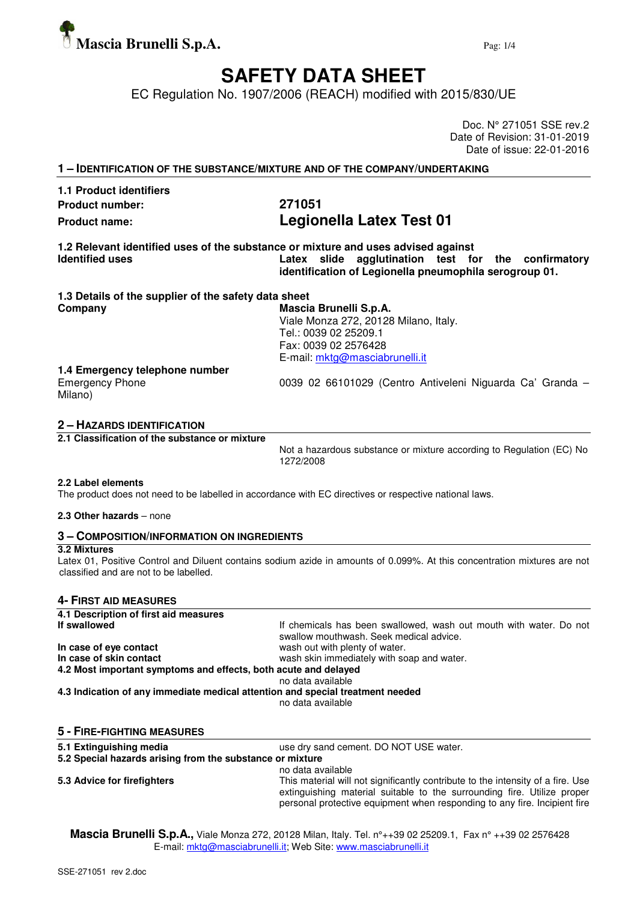

# **SAFETY DATA SHEET**

EC Regulation No. 1907/2006 (REACH) modified with 2015/830/UE

Doc. N° 271051 SSE rev.2 Date of Revision: 31-01-2019 Date of issue: 22-01-2016

| <b>1.1 Product identifiers</b>                       |                                                                                                                                                                                                    |
|------------------------------------------------------|----------------------------------------------------------------------------------------------------------------------------------------------------------------------------------------------------|
| <b>Product number:</b>                               | 271051                                                                                                                                                                                             |
| <b>Product name:</b>                                 | Legionella Latex Test 01                                                                                                                                                                           |
| <b>Identified uses</b>                               | 1.2 Relevant identified uses of the substance or mixture and uses advised against<br>Latex slide agglutination test for the confirmatory<br>identification of Legionella pneumophila serogroup 01. |
| 1.3 Details of the supplier of the safety data sheet |                                                                                                                                                                                                    |
| Company                                              | Mascia Brunelli S.p.A.                                                                                                                                                                             |
|                                                      | Viale Monza 272, 20128 Milano, Italy.                                                                                                                                                              |
|                                                      | Tel.: 0039 02 25209.1                                                                                                                                                                              |
|                                                      | Fax: 0039 02 2576428                                                                                                                                                                               |
|                                                      | E-mail: mktg@masciabrunelli.it                                                                                                                                                                     |
| 1.4 Emergency telephone number                       |                                                                                                                                                                                                    |
| <b>Emergency Phone</b><br>Milano)                    | 0039 02 66101029 (Centro Antiveleni Niguarda Ca' Granda -                                                                                                                                          |

## **2 – HAZARDS IDENTIFICATION**

**2.1 Classification of the substance or mixture** 

Not a hazardous substance or mixture according to Regulation (EC) No 1272/2008

#### **2.2 Label elements**

The product does not need to be labelled in accordance with EC directives or respective national laws.

#### **2.3 Other hazards** – none

## **3 – COMPOSITION/INFORMATION ON INGREDIENTS**

#### **3.2 Mixtures**

Latex 01, Positive Control and Diluent contains sodium azide in amounts of 0.099%. At this concentration mixtures are not classified and are not to be labelled.

#### **4- FIRST AID MEASURES**

| 4.1 Description of first aid measures                                          |                                                                                                               |  |  |  |
|--------------------------------------------------------------------------------|---------------------------------------------------------------------------------------------------------------|--|--|--|
| If swallowed                                                                   | If chemicals has been swallowed, wash out mouth with water. Do not<br>swallow mouthwash. Seek medical advice. |  |  |  |
| In case of eye contact                                                         | wash out with plenty of water.                                                                                |  |  |  |
| In case of skin contact                                                        | wash skin immediately with soap and water.                                                                    |  |  |  |
| 4.2 Most important symptoms and effects, both acute and delayed                |                                                                                                               |  |  |  |
|                                                                                | no data available                                                                                             |  |  |  |
| 4.3 Indication of any immediate medical attention and special treatment needed | no data available                                                                                             |  |  |  |
| <b>5 - FIRE-FIGHTING MEASURES</b>                                              |                                                                                                               |  |  |  |
| 5.1 Extinguishing media                                                        | use dry sand cement. DO NOT USE water.                                                                        |  |  |  |
| 5.2 Special hazards arising from the substance or mixture                      |                                                                                                               |  |  |  |
|                                                                                | no data available                                                                                             |  |  |  |

**5.3 Advice for firefighters** This material will not significantly contribute to the intensity of a fire. Use extinguishing material suitable to the surrounding fire. Utilize proper personal protective equipment when responding to any fire. Incipient fire

**Mascia Brunelli S.p.A.,** Viale Monza 272, 20128 Milan, Italy. Tel. n°++39 02 25209.1, Fax n° ++39 02 2576428 E-mail: mktg@masciabrunelli.it; Web Site: www.masciabrunelli.it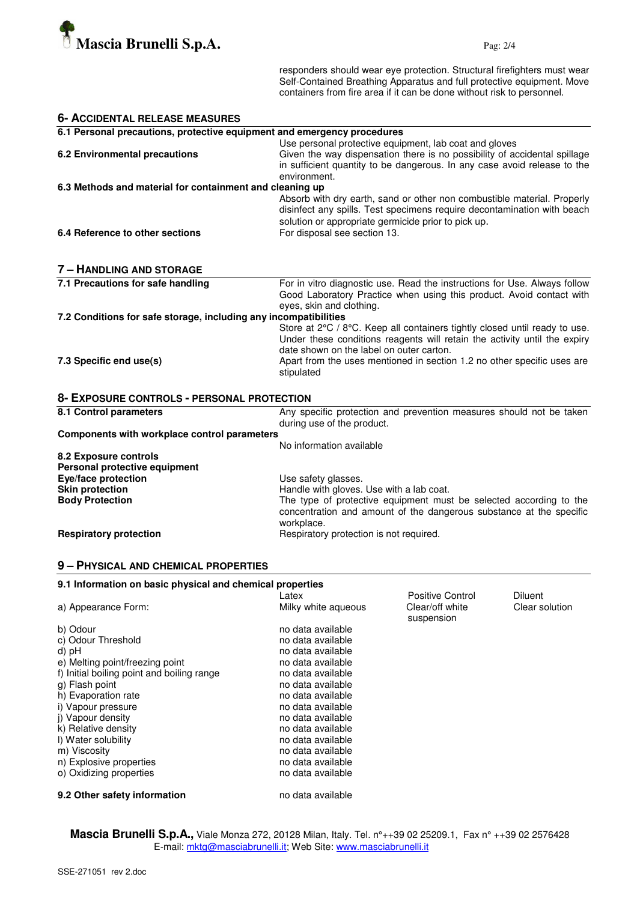

responders should wear eye protection. Structural firefighters must wear Self-Contained Breathing Apparatus and full protective equipment. Move containers from fire area if it can be done without risk to personnel.

| <b>6- ACCIDENTAL RELEASE MEASURES</b>                                   |                                                                                                                                                                                                                                                                                              |  |  |
|-------------------------------------------------------------------------|----------------------------------------------------------------------------------------------------------------------------------------------------------------------------------------------------------------------------------------------------------------------------------------------|--|--|
| 6.1 Personal precautions, protective equipment and emergency procedures |                                                                                                                                                                                                                                                                                              |  |  |
| 6.2 Environmental precautions                                           | Use personal protective equipment, lab coat and gloves<br>Given the way dispensation there is no possibility of accidental spillage<br>in sufficient quantity to be dangerous. In any case avoid release to the<br>environment.                                                              |  |  |
| 6.3 Methods and material for containment and cleaning up                |                                                                                                                                                                                                                                                                                              |  |  |
|                                                                         | Absorb with dry earth, sand or other non combustible material. Properly<br>disinfect any spills. Test specimens require decontamination with beach<br>solution or appropriate germicide prior to pick up.                                                                                    |  |  |
| 6.4 Reference to other sections                                         | For disposal see section 13.                                                                                                                                                                                                                                                                 |  |  |
| <b>7 - HANDLING AND STORAGE</b>                                         |                                                                                                                                                                                                                                                                                              |  |  |
| 7.1 Precautions for safe handling                                       | For in vitro diagnostic use. Read the instructions for Use. Always follow<br>Good Laboratory Practice when using this product. Avoid contact with<br>eyes, skin and clothing.                                                                                                                |  |  |
| 7.2 Conditions for safe storage, including any incompatibilities        |                                                                                                                                                                                                                                                                                              |  |  |
| 7.3 Specific end use(s)                                                 | Store at 2°C / 8°C. Keep all containers tightly closed until ready to use.<br>Under these conditions reagents will retain the activity until the expiry<br>date shown on the label on outer carton.<br>Apart from the uses mentioned in section 1.2 no other specific uses are<br>stipulated |  |  |
| 8- EXPOSURE CONTROLS - PERSONAL PROTECTION                              |                                                                                                                                                                                                                                                                                              |  |  |
| 8.1 Control parameters                                                  | Any specific protection and prevention measures should not be taken<br>during use of the product.                                                                                                                                                                                            |  |  |
| Components with workplace control parameters                            |                                                                                                                                                                                                                                                                                              |  |  |
|                                                                         | No information available                                                                                                                                                                                                                                                                     |  |  |
| 8.2 Exposure controls<br>Personal protective equipment                  |                                                                                                                                                                                                                                                                                              |  |  |
| Eye/face protection                                                     | Use safety glasses.                                                                                                                                                                                                                                                                          |  |  |
| <b>Skin protection</b>                                                  | Handle with gloves. Use with a lab coat.                                                                                                                                                                                                                                                     |  |  |
| <b>Body Protection</b>                                                  | The type of protective equipment must be selected according to the<br>concentration and amount of the dangerous substance at the specific<br>workplace.                                                                                                                                      |  |  |
| <b>Respiratory protection</b>                                           | Respiratory protection is not required.                                                                                                                                                                                                                                                      |  |  |

## **9 – PHYSICAL AND CHEMICAL PROPERTIES**

| 9.1 Information on basic physical and chemical properties |                     |                  |                |  |
|-----------------------------------------------------------|---------------------|------------------|----------------|--|
|                                                           | Latex               | Positive Control | Diluent        |  |
| a) Appearance Form:                                       | Milky white aqueous | Clear/off white  | Clear solution |  |
|                                                           |                     | suspension       |                |  |
| b) Odour                                                  | no data available   |                  |                |  |
| c) Odour Threshold                                        | no data available   |                  |                |  |
| d) pH                                                     | no data available   |                  |                |  |
| e) Melting point/freezing point                           | no data available   |                  |                |  |
| f) Initial boiling point and boiling range                | no data available   |                  |                |  |
| g) Flash point                                            | no data available   |                  |                |  |
| h) Evaporation rate                                       | no data available   |                  |                |  |
| i) Vapour pressure                                        | no data available   |                  |                |  |
| j) Vapour density                                         | no data available   |                  |                |  |
| k) Relative density                                       | no data available   |                  |                |  |
| I) Water solubility                                       | no data available   |                  |                |  |
| m) Viscosity                                              | no data available   |                  |                |  |
| n) Explosive properties                                   | no data available   |                  |                |  |
| o) Oxidizing properties                                   | no data available   |                  |                |  |
| 9.2 Other safety information                              | no data available   |                  |                |  |

**Mascia Brunelli S.p.A.,** Viale Monza 272, 20128 Milan, Italy. Tel. n°++39 02 25209.1, Fax n° ++39 02 2576428 E-mail: mktg@masciabrunelli.it; Web Site: www.masciabrunelli.it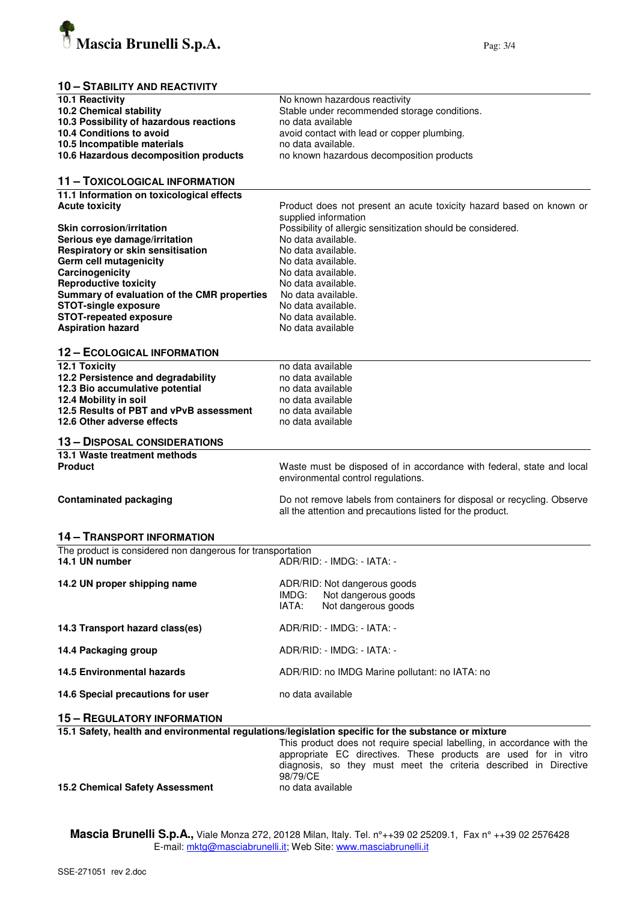

# **10 – STABILITY AND REACTIVITY**

| 10.1 Reactivity                                                    | No known hazardous reactivity                                                                       |  |  |
|--------------------------------------------------------------------|-----------------------------------------------------------------------------------------------------|--|--|
| 10.2 Chemical stability                                            | Stable under recommended storage conditions.                                                        |  |  |
| 10.3 Possibility of hazardous reactions                            | no data available                                                                                   |  |  |
| 10.4 Conditions to avoid                                           | avoid contact with lead or copper plumbing.                                                         |  |  |
| 10.5 Incompatible materials                                        | no data available.                                                                                  |  |  |
| 10.6 Hazardous decomposition products                              | no known hazardous decomposition products                                                           |  |  |
|                                                                    |                                                                                                     |  |  |
| 11 - TOXICOLOGICAL INFORMATION                                     |                                                                                                     |  |  |
|                                                                    |                                                                                                     |  |  |
| 11.1 Information on toxicological effects<br><b>Acute toxicity</b> |                                                                                                     |  |  |
|                                                                    | Product does not present an acute toxicity hazard based on known or                                 |  |  |
|                                                                    | supplied information                                                                                |  |  |
| <b>Skin corrosion/irritation</b>                                   | Possibility of allergic sensitization should be considered.                                         |  |  |
| Serious eye damage/irritation                                      | No data available.                                                                                  |  |  |
| Respiratory or skin sensitisation                                  | No data available.                                                                                  |  |  |
| Germ cell mutagenicity                                             | No data available.                                                                                  |  |  |
| Carcinogenicity                                                    | No data available.                                                                                  |  |  |
| <b>Reproductive toxicity</b>                                       | No data available.                                                                                  |  |  |
| Summary of evaluation of the CMR properties                        | No data available.                                                                                  |  |  |
| <b>STOT-single exposure</b>                                        | No data available.                                                                                  |  |  |
| <b>STOT-repeated exposure</b>                                      | No data available.                                                                                  |  |  |
| <b>Aspiration hazard</b>                                           | No data available                                                                                   |  |  |
|                                                                    |                                                                                                     |  |  |
| <b>12 - ECOLOGICAL INFORMATION</b>                                 |                                                                                                     |  |  |
| 12.1 Toxicity                                                      | no data available                                                                                   |  |  |
| 12.2 Persistence and degradability                                 | no data available                                                                                   |  |  |
|                                                                    | no data available                                                                                   |  |  |
| 12.3 Bio accumulative potential                                    |                                                                                                     |  |  |
| 12.4 Mobility in soil                                              | no data available                                                                                   |  |  |
| 12.5 Results of PBT and vPvB assessment                            | no data available                                                                                   |  |  |
| 12.6 Other adverse effects                                         | no data available                                                                                   |  |  |
| <b>13 - DISPOSAL CONSIDERATIONS</b>                                |                                                                                                     |  |  |
| 13.1 Waste treatment methods                                       |                                                                                                     |  |  |
| <b>Product</b>                                                     | Waste must be disposed of in accordance with federal, state and local                               |  |  |
|                                                                    | environmental control regulations.                                                                  |  |  |
|                                                                    |                                                                                                     |  |  |
| <b>Contaminated packaging</b>                                      | Do not remove labels from containers for disposal or recycling. Observe                             |  |  |
|                                                                    | all the attention and precautions listed for the product.                                           |  |  |
|                                                                    |                                                                                                     |  |  |
| <b>14 - TRANSPORT INFORMATION</b>                                  |                                                                                                     |  |  |
| The product is considered non dangerous for transportation         |                                                                                                     |  |  |
| 14.1 UN number                                                     | ADR/RID: - IMDG: - IATA: -                                                                          |  |  |
|                                                                    |                                                                                                     |  |  |
| 14.2 UN proper shipping name                                       | ADR/RID: Not dangerous goods                                                                        |  |  |
|                                                                    | Not dangerous goods<br>IMDG:                                                                        |  |  |
|                                                                    | IATA:<br>Not dangerous goods                                                                        |  |  |
|                                                                    |                                                                                                     |  |  |
| 14.3 Transport hazard class(es)                                    | ADR/RID: - IMDG: - IATA: -                                                                          |  |  |
|                                                                    |                                                                                                     |  |  |
| 14.4 Packaging group                                               | ADR/RID: - IMDG: - IATA: -                                                                          |  |  |
|                                                                    |                                                                                                     |  |  |
| 14.5 Environmental hazards                                         | ADR/RID: no IMDG Marine pollutant: no IATA: no                                                      |  |  |
|                                                                    |                                                                                                     |  |  |
| 14.6 Special precautions for user                                  | no data available                                                                                   |  |  |
|                                                                    |                                                                                                     |  |  |
| <b>15 - REGULATORY INFORMATION</b>                                 |                                                                                                     |  |  |
|                                                                    | 15.1 Safety, health and environmental regulations/legislation specific for the substance or mixture |  |  |
|                                                                    | This product does not require special labelling, in accordance with the                             |  |  |
|                                                                    | appropriate EC directives. These products are used for in vitro                                     |  |  |
|                                                                    | diagnosis, so they must meet the criteria described in Directive                                    |  |  |
|                                                                    | 98/79/CE                                                                                            |  |  |
|                                                                    | no data available                                                                                   |  |  |
| <b>15.2 Chemical Safety Assessment</b>                             |                                                                                                     |  |  |

**15.2 Chemical Safety Assessment** 

**Mascia Brunelli S.p.A.,** Viale Monza 272, 20128 Milan, Italy. Tel. n°++39 02 25209.1, Fax n° ++39 02 2576428 E-mail: <u>mktg@masciabrunelli.it</u>; Web Site: www.masciabrunelli.it